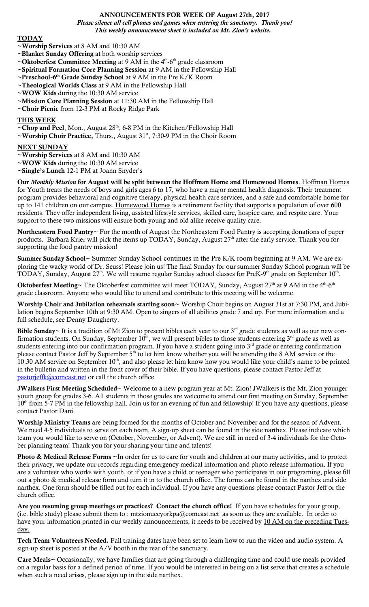## ANNOUNCEMENTS FOR WEEK OF August 27th, 2017

*Please silence all cell phones and games when entering the sanctuary. Thank you! This weekly announcement sheet is included on Mt. Zion's website.*

## **TODAY**

- ~Worship Services at 8 AM and 10:30 AM
- ~Blanket Sunday Offering at both worship services
- ~Oktoberfest Committee Meeting at 9 AM in the  $4<sup>th</sup>$ -6<sup>th</sup> grade classroom
- ~Spiritual Formation Core Planning Session at 9 AM in the Fellowship Hall
- ~Preschool-6<sup>th</sup> Grade Sunday School at 9 AM in the Pre K/K Room
- ~Theological Worlds Class at 9 AM in the Fellowship Hall
- ~WOW Kids during the 10:30 AM service
- ~Mission Core Planning Session at 11:30 AM in the Fellowship Hall
- ~Choir Picnic from 12-3 PM at Rocky Ridge Park

## THIS WEEK

~Chop and Peel, Mon., August 28<sup>th</sup>, 6-8 PM in the Kitchen/Fellowship Hall

~Worship Choir Practice, Thurs., August  $31<sup>st</sup>$ , 7:30-9 PM in the Choir Room

### **NEXT SUNDAY**

~Worship Services at 8 AM and 10:30 AM

~WOW Kids during the 10:30 AM service

~Single's Lunch 12-1 PM at Joann Snyder's

Our *Monthly Mission* for August will be split between the Hoffman Home and Homewood Homes. Hoffman Homes for Youth treats the needs of boys and girls ages 6 to 17, who have a major mental health diagnosis. Their treatment program provides behavioral and cognitive therapy, physical health care services, and a safe and comfortable home for up to 141 children on our campus. Homewood Homes is a retirement facility that supports a population of over 600 residents. They offer independent living, assisted lifestyle services, skilled care, hospice care, and respite care. Your support to these two missions will ensure both young and old alike receive quality care.

Northeastern Food Pantry~ For the month of August the Northeastern Food Pantry is accepting donations of paper products. Barbara Krier will pick the items up TODAY, Sunday, August 27<sup>th</sup> after the early service. Thank you for supporting the food pantry mission!

Summer Sunday School~ Summer Sunday School continues in the Pre K/K room beginning at 9 AM. We are exploring the wacky world of Dr. Seuss! Please join us! The final Sunday for our summer Sunday School program will be TODAY, Sunday, August  $27<sup>th</sup>$ . We will resume regular Sunday school classes for PreK-9<sup>th</sup> grade on September  $10<sup>th</sup>$ .

**Oktoberfest Meeting~** The Oktoberfest committee will meet TODAY, Sunday, August  $27<sup>th</sup>$  at 9 AM in the  $4<sup>th</sup>$ -6<sup>th</sup> grade classroom. Anyone who would like to attend and contribute to this meeting will be welcome.

Worship Choir and Jubilation rehearsals starting soon~ Worship Choir begins on August 31st at 7:30 PM, and Jubilation begins September 10th at 9:30 AM. Open to singers of all abilities grade 7 and up. For more information and a full schedule, see Denny Daugherty.

Bible Sunday~ It is a tradition of Mt Zion to present bibles each year to our  $3^{rd}$  grade students as well as our new confirmation students. On Sunday, September  $10^{th}$ , we will present bibles to those students entering  $3^{rd}$  grade as well as students entering into our confirmation program. If you have a student going into 3<sup>rd</sup> grade or entering confirmation please contact Pastor Jeff by September  $5<sup>th</sup>$  to let him know whether you will be attending the 8 AM service or the 10:30 AM service on September  $10<sup>th</sup>$ , and also please let him know how you would like your child's name to be printed in the bulletin and written in the front cover of their bible. If you have questions, please contact Pastor Jeff at [pastorjeffk@comcast.net](mailto:pastorjeffk@comcast.net) or call the church office.

**JWalkers First Meeting Scheduled**~ Welcome to a new program year at Mt. Zion! JWalkers is the Mt. Zion younger youth group for grades 3-6. All students in those grades are welcome to attend our first meeting on Sunday, September 10<sup>th</sup> from 5-7 PM in the fellowship hall. Join us for an evening of fun and fellowship! If you have any questions, please contact Pastor Dani.

Worship Ministry Teams are being formed for the months of October and November and for the season of Advent. We need 4-5 individuals to serve on each team. A sign-up sheet can be found in the side narthex. Please indicate which team you would like to serve on (October, November, or Advent). We are still in need of 3-4 individuals for the October planning team! Thank you for your sharing your time and talents!

Photo & Medical Release Forms ~In order for us to care for youth and children at our many activities, and to protect their privacy, we update our records regarding emergency medical information and photo release information. If you are a volunteer who works with youth, or if you have a child or teenager who participates in our programing, please fill out a photo & medical release form and turn it in to the church office. The forms can be found in the narthex and side narthex. One form should be filled out for each individual. If you have any questions please contact Pastor Jeff or the church office.

Are you resuming group meetings or practices? Contact the church office! If you have schedules for your group, (i.e. bible study) please submit them to: mtzionuccyorkpa@comcast.net as soon as they are available. In order to have your information printed in our weekly announcements, it needs to be received by 10 AM on the preceding Tuesday.

Tech Team Volunteers Needed. Fall training dates have been set to learn how to run the video and audio system. A sign-up sheet is posted at the A/V booth in the rear of the sanctuary.

Care Meals~ Occasionally, we have families that are going through a challenging time and could use meals provided on a regular basis for a defined period of time. If you would be interested in being on a list serve that creates a schedule when such a need arises, please sign up in the side narthex.